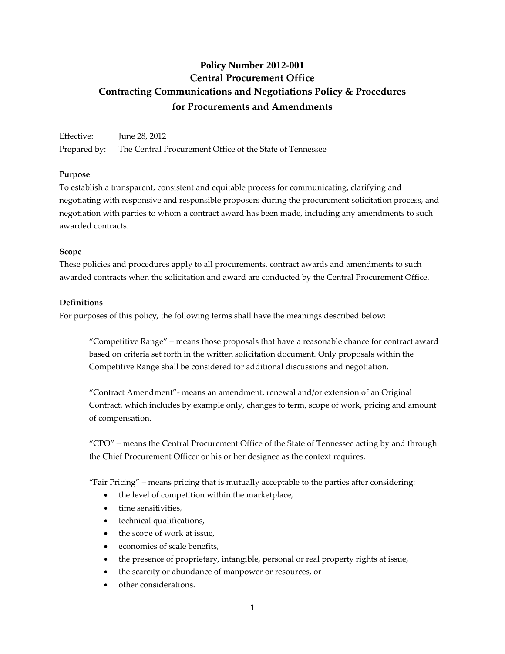# **Policy Number 2012-001 Central Procurement Office Contracting Communications and Negotiations Policy & Procedures for Procurements and Amendments**

Effective: June 28, 2012 Prepared by: The Central Procurement Office of the State of Tennessee

# **Purpose**

To establish a transparent, consistent and equitable process for communicating, clarifying and negotiating with responsive and responsible proposers during the procurement solicitation process, and negotiation with parties to whom a contract award has been made, including any amendments to such awarded contracts.

# **Scope**

These policies and procedures apply to all procurements, contract awards and amendments to such awarded contracts when the solicitation and award are conducted by the Central Procurement Office.

# **Definitions**

For purposes of this policy, the following terms shall have the meanings described below:

"Competitive Range" – means those proposals that have a reasonable chance for contract award based on criteria set forth in the written solicitation document. Only proposals within the Competitive Range shall be considered for additional discussions and negotiation.

"Contract Amendment"- means an amendment, renewal and/or extension of an Original Contract, which includes by example only, changes to term, scope of work, pricing and amount of compensation.

"CPO" – means the Central Procurement Office of the State of Tennessee acting by and through the Chief Procurement Officer or his or her designee as the context requires.

"Fair Pricing" – means pricing that is mutually acceptable to the parties after considering:

- the level of competition within the marketplace,
- time sensitivities,
- technical qualifications,
- the scope of work at issue,
- economies of scale benefits,
- the presence of proprietary, intangible, personal or real property rights at issue,
- the scarcity or abundance of manpower or resources, or
- other considerations.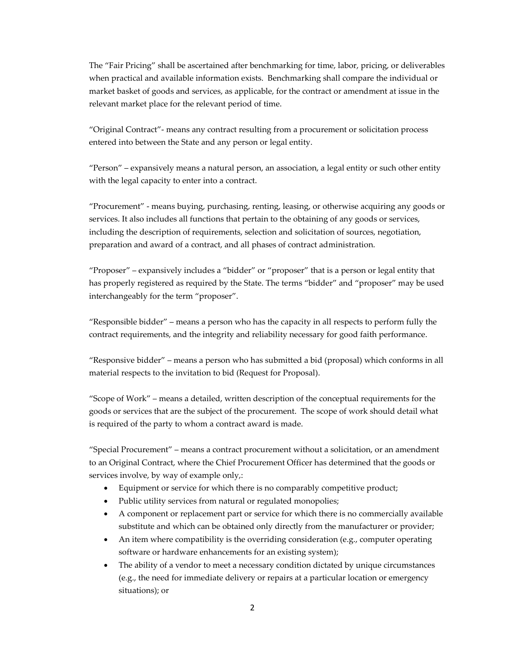The "Fair Pricing" shall be ascertained after benchmarking for time, labor, pricing, or deliverables when practical and available information exists. Benchmarking shall compare the individual or market basket of goods and services, as applicable, for the contract or amendment at issue in the relevant market place for the relevant period of time.

"Original Contract"- means any contract resulting from a procurement or solicitation process entered into between the State and any person or legal entity.

"Person" – expansively means a natural person, an association, a legal entity or such other entity with the legal capacity to enter into a contract.

"Procurement" - means buying, purchasing, renting, leasing, or otherwise acquiring any goods or services. It also includes all functions that pertain to the obtaining of any goods or services, including the description of requirements, selection and solicitation of sources, negotiation, preparation and award of a contract, and all phases of contract administration.

"Proposer" – expansively includes a "bidder" or "proposer" that is a person or legal entity that has properly registered as required by the State. The terms "bidder" and "proposer" may be used interchangeably for the term "proposer".

"Responsible bidder" – means a person who has the capacity in all respects to perform fully the contract requirements, and the integrity and reliability necessary for good faith performance.

"Responsive bidder" – means a person who has submitted a bid (proposal) which conforms in all material respects to the invitation to bid (Request for Proposal).

"Scope of Work" – means a detailed, written description of the conceptual requirements for the goods or services that are the subject of the procurement. The scope of work should detail what is required of the party to whom a contract award is made.

"Special Procurement" – means a contract procurement without a solicitation, or an amendment to an Original Contract, where the Chief Procurement Officer has determined that the goods or services involve, by way of example only,:

- Equipment or service for which there is no comparably competitive product;
- Public utility services from natural or regulated monopolies;
- A component or replacement part or service for which there is no commercially available substitute and which can be obtained only directly from the manufacturer or provider;
- An item where compatibility is the overriding consideration (e.g., computer operating software or hardware enhancements for an existing system);
- The ability of a vendor to meet a necessary condition dictated by unique circumstances (e.g., the need for immediate delivery or repairs at a particular location or emergency situations); or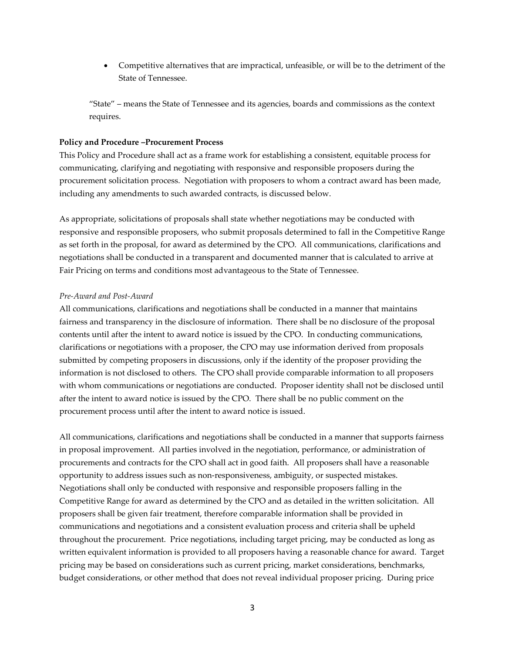• Competitive alternatives that are impractical, unfeasible, or will be to the detriment of the State of Tennessee.

"State" – means the State of Tennessee and its agencies, boards and commissions as the context requires.

#### **Policy and Procedure –Procurement Process**

This Policy and Procedure shall act as a frame work for establishing a consistent, equitable process for communicating, clarifying and negotiating with responsive and responsible proposers during the procurement solicitation process. Negotiation with proposers to whom a contract award has been made, including any amendments to such awarded contracts, is discussed below.

As appropriate, solicitations of proposals shall state whether negotiations may be conducted with responsive and responsible proposers, who submit proposals determined to fall in the Competitive Range as set forth in the proposal, for award as determined by the CPO. All communications, clarifications and negotiations shall be conducted in a transparent and documented manner that is calculated to arrive at Fair Pricing on terms and conditions most advantageous to the State of Tennessee.

#### *Pre-Award and Post-Award*

All communications, clarifications and negotiations shall be conducted in a manner that maintains fairness and transparency in the disclosure of information. There shall be no disclosure of the proposal contents until after the intent to award notice is issued by the CPO. In conducting communications, clarifications or negotiations with a proposer, the CPO may use information derived from proposals submitted by competing proposers in discussions, only if the identity of the proposer providing the information is not disclosed to others. The CPO shall provide comparable information to all proposers with whom communications or negotiations are conducted. Proposer identity shall not be disclosed until after the intent to award notice is issued by the CPO. There shall be no public comment on the procurement process until after the intent to award notice is issued.

All communications, clarifications and negotiations shall be conducted in a manner that supports fairness in proposal improvement. All parties involved in the negotiation, performance, or administration of procurements and contracts for the CPO shall act in good faith. All proposers shall have a reasonable opportunity to address issues such as non-responsiveness, ambiguity, or suspected mistakes. Negotiations shall only be conducted with responsive and responsible proposers falling in the Competitive Range for award as determined by the CPO and as detailed in the written solicitation. All proposers shall be given fair treatment, therefore comparable information shall be provided in communications and negotiations and a consistent evaluation process and criteria shall be upheld throughout the procurement. Price negotiations, including target pricing, may be conducted as long as written equivalent information is provided to all proposers having a reasonable chance for award. Target pricing may be based on considerations such as current pricing, market considerations, benchmarks, budget considerations, or other method that does not reveal individual proposer pricing. During price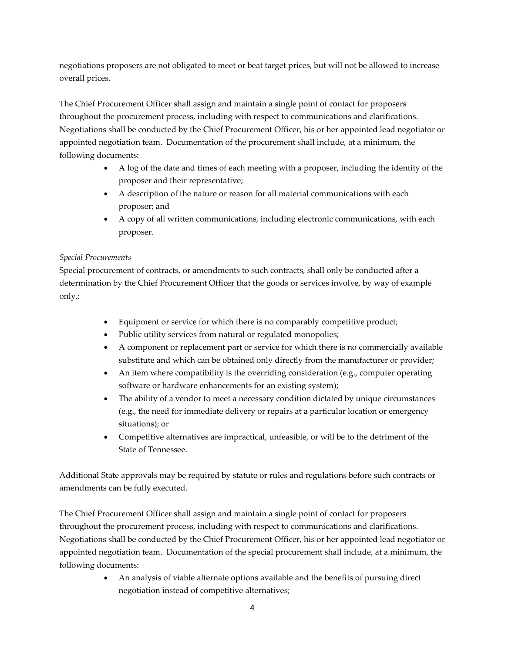negotiations proposers are not obligated to meet or beat target prices, but will not be allowed to increase overall prices.

The Chief Procurement Officer shall assign and maintain a single point of contact for proposers throughout the procurement process, including with respect to communications and clarifications. Negotiations shall be conducted by the Chief Procurement Officer, his or her appointed lead negotiator or appointed negotiation team. Documentation of the procurement shall include, at a minimum, the following documents:

- A log of the date and times of each meeting with a proposer, including the identity of the proposer and their representative;
- A description of the nature or reason for all material communications with each proposer; and
- A copy of all written communications, including electronic communications, with each proposer.

# *Special Procurements*

Special procurement of contracts, or amendments to such contracts, shall only be conducted after a determination by the Chief Procurement Officer that the goods or services involve, by way of example only,:

- Equipment or service for which there is no comparably competitive product;
- Public utility services from natural or regulated monopolies;
- A component or replacement part or service for which there is no commercially available substitute and which can be obtained only directly from the manufacturer or provider;
- An item where compatibility is the overriding consideration (e.g., computer operating software or hardware enhancements for an existing system);
- The ability of a vendor to meet a necessary condition dictated by unique circumstances (e.g., the need for immediate delivery or repairs at a particular location or emergency situations); or
- Competitive alternatives are impractical, unfeasible, or will be to the detriment of the State of Tennessee.

Additional State approvals may be required by statute or rules and regulations before such contracts or amendments can be fully executed.

The Chief Procurement Officer shall assign and maintain a single point of contact for proposers throughout the procurement process, including with respect to communications and clarifications. Negotiations shall be conducted by the Chief Procurement Officer, his or her appointed lead negotiator or appointed negotiation team. Documentation of the special procurement shall include, at a minimum, the following documents:

> • An analysis of viable alternate options available and the benefits of pursuing direct negotiation instead of competitive alternatives;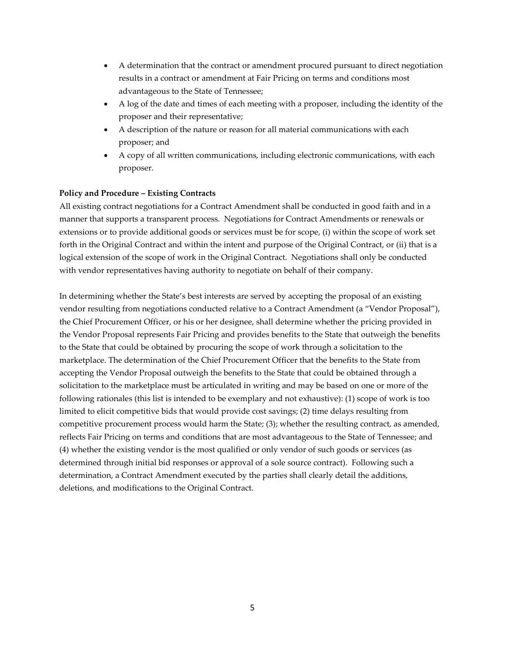- A determination that the contract or amendment procured pursuant to direct negotiation results in a contract or amendment at Fair Pricing on terms and conditions most advantageous to the State of Tennessee;
- A log of the date and times of each meeting with a proposer, including the identity of the proposer and their representative;
- A description of the nature or reason for all material communications with each proposer; and
- A copy of all written communications, including electronic communications, with each proposer.

# **Policy and Procedure – Existing Contracts**

All existing contract negotiations for a Contract Amendment shall be conducted in good faith and in a manner that supports a transparent process. Negotiations for Contract Amendments or renewals or extensions or to provide additional goods or services must be for scope, (i) within the scope of work set forth in the Original Contract and within the intent and purpose of the Original Contract, or (ii) that is a logical extension of the scope of work in the Original Contract. Negotiations shall only be conducted with vendor representatives having authority to negotiate on behalf of their company.

In determining whether the State's best interests are served by accepting the proposal of an existing vendor resulting from negotiations conducted relative to a Contract Amendment (a "Vendor Proposal"), the Chief Procurement Officer, or his or her designee, shall determine whether the pricing provided in the Vendor Proposal represents Fair Pricing and provides benefits to the State that outweigh the benefits to the State that could be obtained by procuring the scope of work through a solicitation to the marketplace. The determination of the Chief Procurement Officer that the benefits to the State from accepting the Vendor Proposal outweigh the benefits to the State that could be obtained through a solicitation to the marketplace must be articulated in writing and may be based on one or more of the following rationales (this list is intended to be exemplary and not exhaustive): (1) scope of work is too limited to elicit competitive bids that would provide cost savings; (2) time delays resulting from competitive procurement process would harm the State; (3); whether the resulting contract, as amended, reflects Fair Pricing on terms and conditions that are most advantageous to the State of Tennessee; and (4) whether the existing vendor is the most qualified or only vendor of such goods or services (as determined through initial bid responses or approval of a sole source contract). Following such a determination, a Contract Amendment executed by the parties shall clearly detail the additions, deletions, and modifications to the Original Contract.